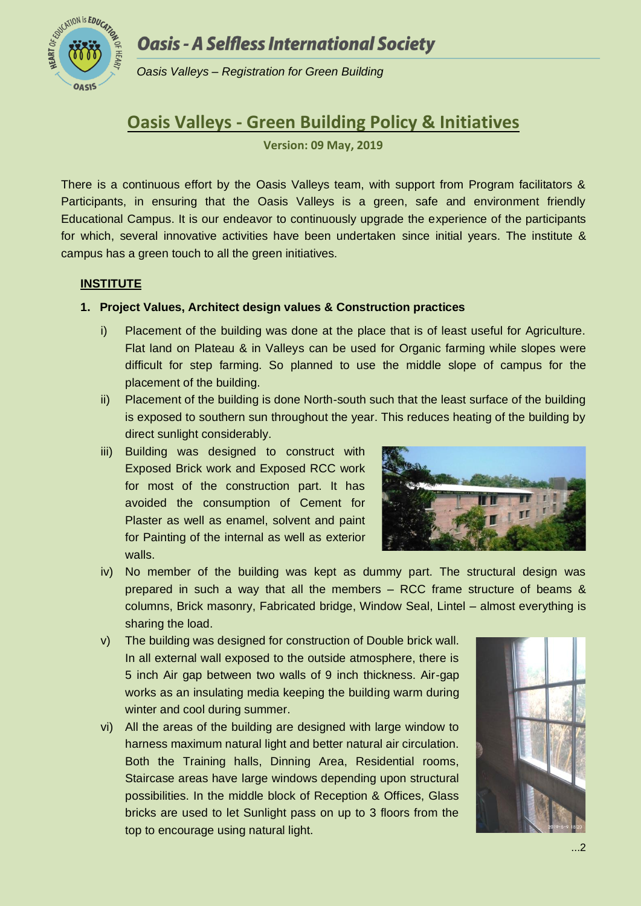## **Oasis - A Selfless International Society**



*Oasis Valleys – Registration for Green Building*

# **Oasis Valleys - Green Building Policy & Initiatives**

**Version: 09 May, 2019**

There is a continuous effort by the Oasis Valleys team, with support from Program facilitators & Participants, in ensuring that the Oasis Valleys is a green, safe and environment friendly Educational Campus. It is our endeavor to continuously upgrade the experience of the participants for which, several innovative activities have been undertaken since initial years. The institute & campus has a green touch to all the green initiatives.

## **INSTITUTE**

## **1. Project Values, Architect design values & Construction practices**

- i) Placement of the building was done at the place that is of least useful for Agriculture. Flat land on Plateau & in Valleys can be used for Organic farming while slopes were difficult for step farming. So planned to use the middle slope of campus for the placement of the building.
- ii) Placement of the building is done North-south such that the least surface of the building is exposed to southern sun throughout the year. This reduces heating of the building by direct sunlight considerably.
- iii) Building was designed to construct with Exposed Brick work and Exposed RCC work for most of the construction part. It has avoided the consumption of Cement for Plaster as well as enamel, solvent and paint for Painting of the internal as well as exterior walls.



- iv) No member of the building was kept as dummy part. The structural design was prepared in such a way that all the members – RCC frame structure of beams & columns, Brick masonry, Fabricated bridge, Window Seal, Lintel – almost everything is sharing the load.
- v) The building was designed for construction of Double brick wall. In all external wall exposed to the outside atmosphere, there is 5 inch Air gap between two walls of 9 inch thickness. Air-gap works as an insulating media keeping the building warm during winter and cool during summer.
- vi) All the areas of the building are designed with large window to harness maximum natural light and better natural air circulation. Both the Training halls, Dinning Area, Residential rooms, Staircase areas have large windows depending upon structural possibilities. In the middle block of Reception & Offices, Glass bricks are used to let Sunlight pass on up to 3 floors from the top to encourage using natural light.

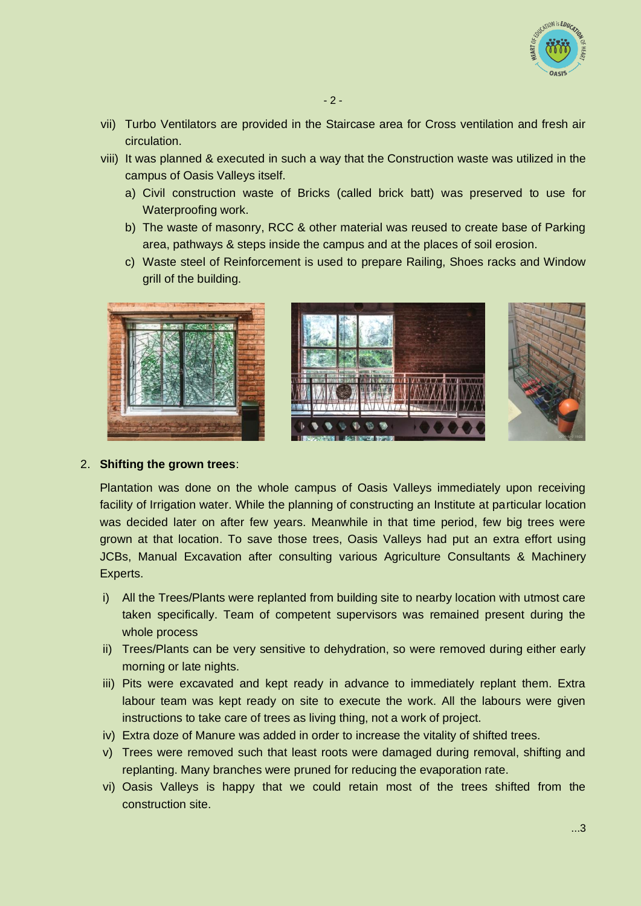

- viii) It was planned & executed in such a way that the Construction waste was utilized in the campus of Oasis Valleys itself.
	- a) Civil construction waste of Bricks (called brick batt) was preserved to use for Waterproofing work.
	- b) The waste of masonry, RCC & other material was reused to create base of Parking area, pathways & steps inside the campus and at the places of soil erosion.
	- c) Waste steel of Reinforcement is used to prepare Railing, Shoes racks and Window grill of the building.





#### 2. **Shifting the grown trees**:

Plantation was done on the whole campus of Oasis Valleys immediately upon receiving facility of Irrigation water. While the planning of constructing an Institute at particular location was decided later on after few years. Meanwhile in that time period, few big trees were grown at that location. To save those trees, Oasis Valleys had put an extra effort using JCBs, Manual Excavation after consulting various Agriculture Consultants & Machinery Experts.

- i) All the Trees/Plants were replanted from building site to nearby location with utmost care taken specifically. Team of competent supervisors was remained present during the whole process
- ii) Trees/Plants can be very sensitive to dehydration, so were removed during either early morning or late nights.
- iii) Pits were excavated and kept ready in advance to immediately replant them. Extra labour team was kept ready on site to execute the work. All the labours were given instructions to take care of trees as living thing, not a work of project.
- iv) Extra doze of Manure was added in order to increase the vitality of shifted trees.
- v) Trees were removed such that least roots were damaged during removal, shifting and replanting. Many branches were pruned for reducing the evaporation rate.
- vi) Oasis Valleys is happy that we could retain most of the trees shifted from the construction site.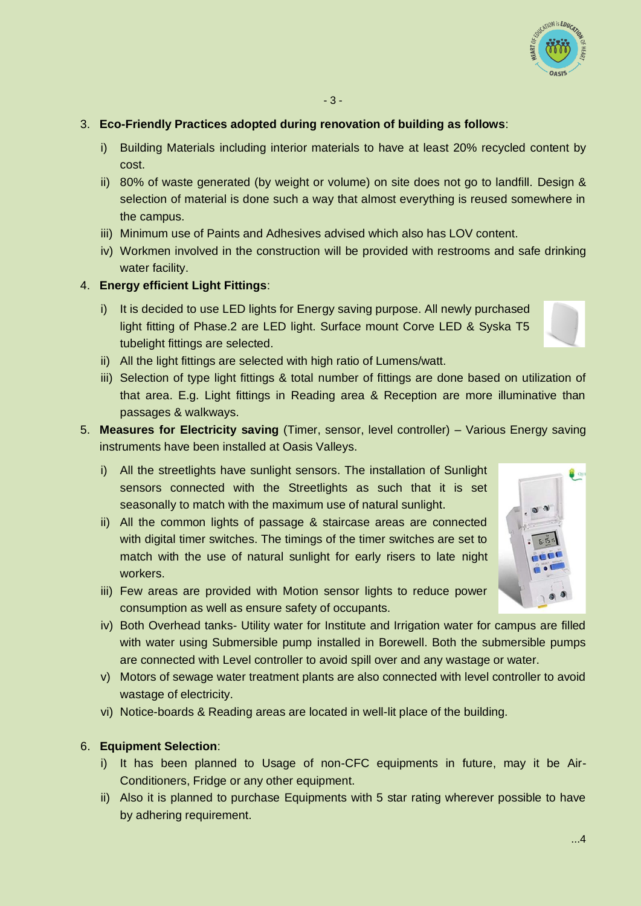## 3. **Eco-Friendly Practices adopted during renovation of building as follows**:

- i) Building Materials including interior materials to have at least 20% recycled content by cost.
- ii) 80% of waste generated (by weight or volume) on site does not go to landfill. Design & selection of material is done such a way that almost everything is reused somewhere in the campus.
- iii) Minimum use of Paints and Adhesives advised which also has LOV content.
- iv) Workmen involved in the construction will be provided with restrooms and safe drinking water facility.

## 4. **Energy efficient Light Fittings**:

i) It is decided to use LED lights for Energy saving purpose. All newly purchased light fitting of Phase.2 are LED light. Surface mount Corve LED & Syska T5 tubelight fittings are selected.



 $\frac{1}{2}$  Qu

- ii) All the light fittings are selected with high ratio of Lumens/watt.
- iii) Selection of type light fittings & total number of fittings are done based on utilization of that area. E.g. Light fittings in Reading area & Reception are more illuminative than passages & walkways.
- 5. **Measures for Electricity saving** (Timer, sensor, level controller) Various Energy saving instruments have been installed at Oasis Valleys.
	- i) All the streetlights have sunlight sensors. The installation of Sunlight sensors connected with the Streetlights as such that it is set seasonally to match with the maximum use of natural sunlight.
	- ii) All the common lights of passage & staircase areas are connected with digital timer switches. The timings of the timer switches are set to match with the use of natural sunlight for early risers to late night workers.
	- iii) Few areas are provided with Motion sensor lights to reduce power consumption as well as ensure safety of occupants.
	- iv) Both Overhead tanks- Utility water for Institute and Irrigation water for campus are filled with water using Submersible pump installed in Borewell. Both the submersible pumps are connected with Level controller to avoid spill over and any wastage or water.
	- v) Motors of sewage water treatment plants are also connected with level controller to avoid wastage of electricity.
	- vi) Notice-boards & Reading areas are located in well-lit place of the building.

#### 6. **Equipment Selection**:

- i) It has been planned to Usage of non-CFC equipments in future, may it be Air-Conditioners, Fridge or any other equipment.
- ii) Also it is planned to purchase Equipments with 5 star rating wherever possible to have by adhering requirement.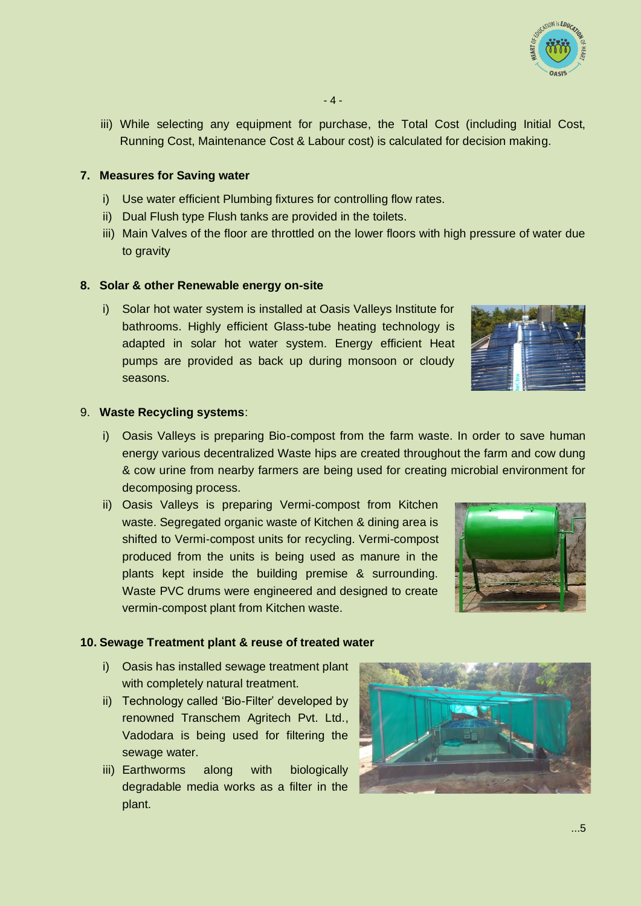

iii) While selecting any equipment for purchase, the Total Cost (including Initial Cost, Running Cost, Maintenance Cost & Labour cost) is calculated for decision making.

#### **7. Measures for Saving water**

- i) Use water efficient Plumbing fixtures for controlling flow rates.
- ii) Dual Flush type Flush tanks are provided in the toilets.
- iii) Main Valves of the floor are throttled on the lower floors with high pressure of water due to gravity

#### **8. Solar & other Renewable energy on-site**

i) Solar hot water system is installed at Oasis Valleys Institute for bathrooms. Highly efficient Glass-tube heating technology is adapted in solar hot water system. Energy efficient Heat pumps are provided as back up during monsoon or cloudy seasons.



#### 9. **Waste Recycling systems**:

- i) Oasis Valleys is preparing Bio-compost from the farm waste. In order to save human energy various decentralized Waste hips are created throughout the farm and cow dung & cow urine from nearby farmers are being used for creating microbial environment for decomposing process.
- ii) Oasis Valleys is preparing Vermi-compost from Kitchen waste. Segregated organic waste of Kitchen & dining area is shifted to Vermi-compost units for recycling. Vermi-compost produced from the units is being used as manure in the plants kept inside the building premise & surrounding. Waste PVC drums were engineered and designed to create vermin-compost plant from Kitchen waste.



#### **10. Sewage Treatment plant & reuse of treated water**

- i) Oasis has installed sewage treatment plant with completely natural treatment.
- ii) Technology called 'Bio-Filter' developed by renowned Transchem Agritech Pvt. Ltd., Vadodara is being used for filtering the sewage water.
- iii) Earthworms along with biologically degradable media works as a filter in the plant.

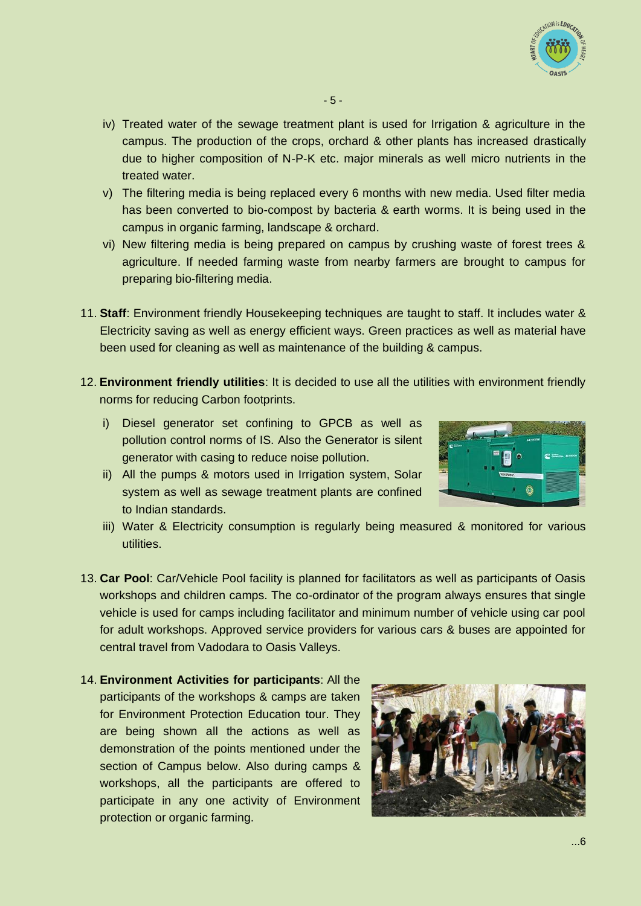

- iv) Treated water of the sewage treatment plant is used for Irrigation & agriculture in the campus. The production of the crops, orchard & other plants has increased drastically due to higher composition of N-P-K etc. major minerals as well micro nutrients in the treated water.
- v) The filtering media is being replaced every 6 months with new media. Used filter media has been converted to bio-compost by bacteria & earth worms. It is being used in the campus in organic farming, landscape & orchard.
- vi) New filtering media is being prepared on campus by crushing waste of forest trees & agriculture. If needed farming waste from nearby farmers are brought to campus for preparing bio-filtering media.
- 11. **Staff**: Environment friendly Housekeeping techniques are taught to staff. It includes water & Electricity saving as well as energy efficient ways. Green practices as well as material have been used for cleaning as well as maintenance of the building & campus.
- 12. **Environment friendly utilities**: It is decided to use all the utilities with environment friendly norms for reducing Carbon footprints.
	- i) Diesel generator set confining to GPCB as well as pollution control norms of IS. Also the Generator is silent generator with casing to reduce noise pollution.
	- ii) All the pumps & motors used in Irrigation system, Solar system as well as sewage treatment plants are confined to Indian standards.



- iii) Water & Electricity consumption is regularly being measured & monitored for various utilities.
- 13. **Car Pool**: Car/Vehicle Pool facility is planned for facilitators as well as participants of Oasis workshops and children camps. The co-ordinator of the program always ensures that single vehicle is used for camps including facilitator and minimum number of vehicle using car pool for adult workshops. Approved service providers for various cars & buses are appointed for central travel from Vadodara to Oasis Valleys.
- 14. **Environment Activities for participants**: All the participants of the workshops & camps are taken for Environment Protection Education tour. They are being shown all the actions as well as demonstration of the points mentioned under the section of Campus below. Also during camps & workshops, all the participants are offered to participate in any one activity of Environment protection or organic farming.

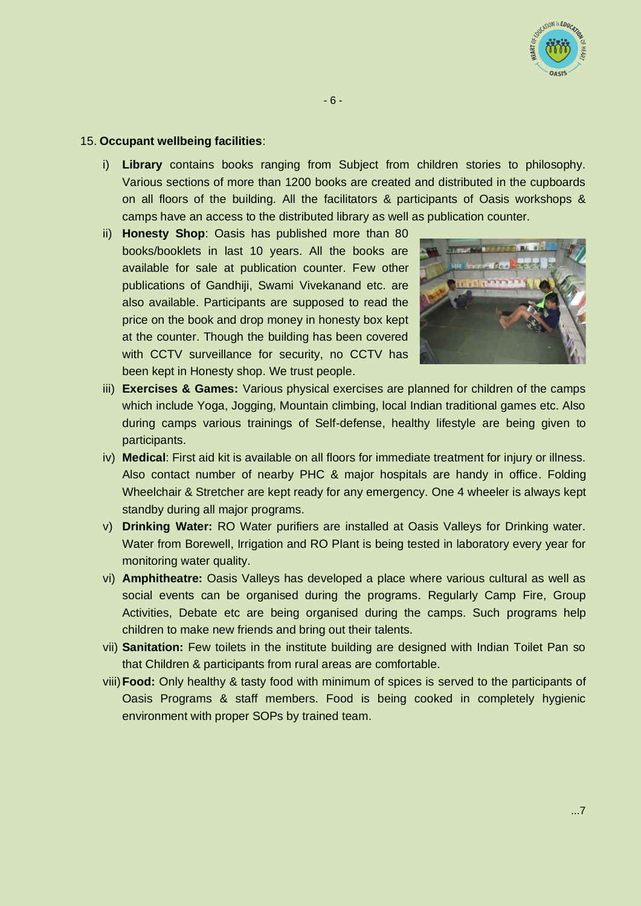

### 15. **Occupant wellbeing facilities**:

- i) **Library** contains books ranging from Subject from children stories to philosophy. Various sections of more than 1200 books are created and distributed in the cupboards on all floors of the building. All the facilitators & participants of Oasis workshops & camps have an access to the distributed library as well as publication counter.
- ii) **Honesty Shop**: Oasis has published more than 80 books/booklets in last 10 years. All the books are available for sale at publication counter. Few other publications of Gandhiji, Swami Vivekanand etc. are also available. Participants are supposed to read the price on the book and drop money in honesty box kept at the counter. Though the building has been covered with CCTV surveillance for security, no CCTV has been kept in Honesty shop. We trust people.



- iii) **Exercises & Games:** Various physical exercises are planned for children of the camps which include Yoga, Jogging, Mountain climbing, local Indian traditional games etc. Also during camps various trainings of Self-defense, healthy lifestyle are being given to participants.
- iv) **Medical**: First aid kit is available on all floors for immediate treatment for injury or illness. Also contact number of nearby PHC & major hospitals are handy in office. Folding Wheelchair & Stretcher are kept ready for any emergency. One 4 wheeler is always kept standby during all major programs.
- v) **Drinking Water:** RO Water purifiers are installed at Oasis Valleys for Drinking water. Water from Borewell, Irrigation and RO Plant is being tested in laboratory every year for monitoring water quality.
- vi) **Amphitheatre:** Oasis Valleys has developed a place where various cultural as well as social events can be organised during the programs. Regularly Camp Fire, Group Activities, Debate etc are being organised during the camps. Such programs help children to make new friends and bring out their talents.
- vii) **Sanitation:** Few toilets in the institute building are designed with Indian Toilet Pan so that Children & participants from rural areas are comfortable.
- viii)**Food:** Only healthy & tasty food with minimum of spices is served to the participants of Oasis Programs & staff members. Food is being cooked in completely hygienic environment with proper SOPs by trained team.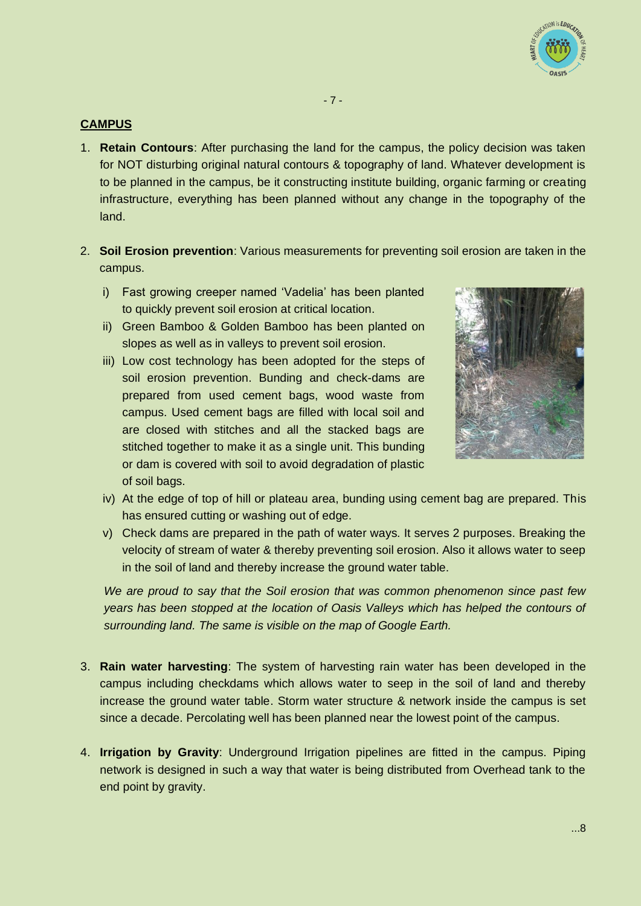

## **CAMPUS**

- 1. **Retain Contours**: After purchasing the land for the campus, the policy decision was taken for NOT disturbing original natural contours & topography of land. Whatever development is to be planned in the campus, be it constructing institute building, organic farming or creating infrastructure, everything has been planned without any change in the topography of the land.
- 2. **Soil Erosion prevention**: Various measurements for preventing soil erosion are taken in the campus.
	- i) Fast growing creeper named 'Vadelia' has been planted to quickly prevent soil erosion at critical location.
	- ii) Green Bamboo & Golden Bamboo has been planted on slopes as well as in valleys to prevent soil erosion.
	- iii) Low cost technology has been adopted for the steps of soil erosion prevention. Bunding and check-dams are prepared from used cement bags, wood waste from campus. Used cement bags are filled with local soil and are closed with stitches and all the stacked bags are stitched together to make it as a single unit. This bunding or dam is covered with soil to avoid degradation of plastic of soil bags.



- iv) At the edge of top of hill or plateau area, bunding using cement bag are prepared. This has ensured cutting or washing out of edge.
- v) Check dams are prepared in the path of water ways. It serves 2 purposes. Breaking the velocity of stream of water & thereby preventing soil erosion. Also it allows water to seep in the soil of land and thereby increase the ground water table.

*We are proud to say that the Soil erosion that was common phenomenon since past few years has been stopped at the location of Oasis Valleys which has helped the contours of surrounding land. The same is visible on the map of Google Earth.*

- 3. **Rain water harvesting**: The system of harvesting rain water has been developed in the campus including checkdams which allows water to seep in the soil of land and thereby increase the ground water table. Storm water structure & network inside the campus is set since a decade. Percolating well has been planned near the lowest point of the campus.
- 4. **Irrigation by Gravity**: Underground Irrigation pipelines are fitted in the campus. Piping network is designed in such a way that water is being distributed from Overhead tank to the end point by gravity.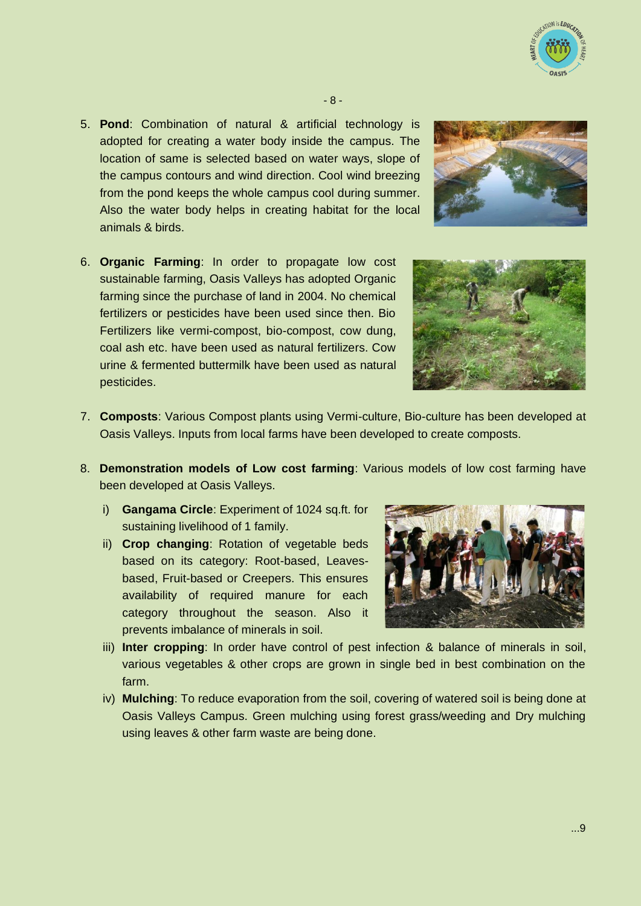

5. **Pond**: Combination of natural & artificial technology is adopted for creating a water body inside the campus. The location of same is selected based on water ways, slope of the campus contours and wind direction. Cool wind breezing from the pond keeps the whole campus cool during summer. Also the water body helps in creating habitat for the local animals & birds.



6. **Organic Farming**: In order to propagate low cost sustainable farming, Oasis Valleys has adopted Organic farming since the purchase of land in 2004. No chemical fertilizers or pesticides have been used since then. Bio Fertilizers like vermi-compost, bio-compost, cow dung, coal ash etc. have been used as natural fertilizers. Cow urine & fermented buttermilk have been used as natural pesticides.



- 7. **Composts**: Various Compost plants using Vermi-culture, Bio-culture has been developed at Oasis Valleys. Inputs from local farms have been developed to create composts.
- 8. **Demonstration models of Low cost farming**: Various models of low cost farming have been developed at Oasis Valleys.
	- i) **Gangama Circle**: Experiment of 1024 sq.ft. for sustaining livelihood of 1 family.
	- ii) **Crop changing**: Rotation of vegetable beds based on its category: Root-based, Leavesbased, Fruit-based or Creepers. This ensures availability of required manure for each category throughout the season. Also it prevents imbalance of minerals in soil.



- iii) Inter cropping: In order have control of pest infection & balance of minerals in soil, various vegetables & other crops are grown in single bed in best combination on the farm.
- iv) **Mulching**: To reduce evaporation from the soil, covering of watered soil is being done at Oasis Valleys Campus. Green mulching using forest grass/weeding and Dry mulching using leaves & other farm waste are being done.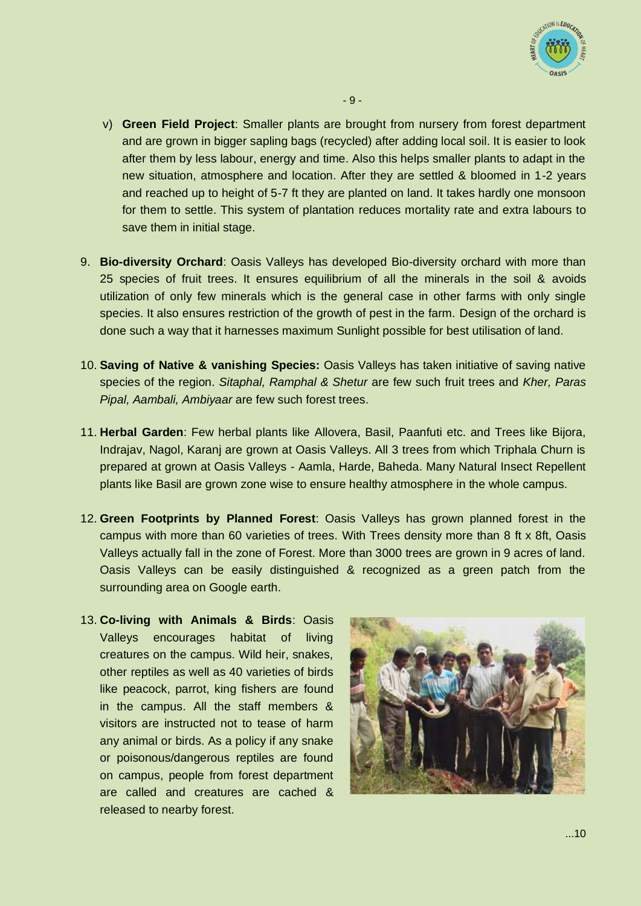

v) **Green Field Project**: Smaller plants are brought from nursery from forest department and are grown in bigger sapling bags (recycled) after adding local soil. It is easier to look after them by less labour, energy and time. Also this helps smaller plants to adapt in the new situation, atmosphere and location. After they are settled & bloomed in 1-2 years and reached up to height of 5-7 ft they are planted on land. It takes hardly one monsoon for them to settle. This system of plantation reduces mortality rate and extra labours to save them in initial stage.

- 9 -

- 9. **Bio-diversity Orchard**: Oasis Valleys has developed Bio-diversity orchard with more than 25 species of fruit trees. It ensures equilibrium of all the minerals in the soil & avoids utilization of only few minerals which is the general case in other farms with only single species. It also ensures restriction of the growth of pest in the farm. Design of the orchard is done such a way that it harnesses maximum Sunlight possible for best utilisation of land.
- 10. **Saving of Native & vanishing Species:** Oasis Valleys has taken initiative of saving native species of the region. *Sitaphal, Ramphal & Shetur* are few such fruit trees and *Kher, Paras Pipal, Aambali, Ambiyaar* are few such forest trees.
- 11. **Herbal Garden**: Few herbal plants like Allovera, Basil, Paanfuti etc. and Trees like Bijora, Indrajav, Nagol, Karanj are grown at Oasis Valleys. All 3 trees from which Triphala Churn is prepared at grown at Oasis Valleys - Aamla, Harde, Baheda. Many Natural Insect Repellent plants like Basil are grown zone wise to ensure healthy atmosphere in the whole campus.
- 12. **Green Footprints by Planned Forest**: Oasis Valleys has grown planned forest in the campus with more than 60 varieties of trees. With Trees density more than 8 ft x 8ft, Oasis Valleys actually fall in the zone of Forest. More than 3000 trees are grown in 9 acres of land. Oasis Valleys can be easily distinguished & recognized as a green patch from the surrounding area on Google earth.
- 13. **Co-living with Animals & Birds**: Oasis Valleys encourages habitat of living creatures on the campus. Wild heir, snakes, other reptiles as well as 40 varieties of birds like peacock, parrot, king fishers are found in the campus. All the staff members & visitors are instructed not to tease of harm any animal or birds. As a policy if any snake or poisonous/dangerous reptiles are found on campus, people from forest department are called and creatures are cached & released to nearby forest.

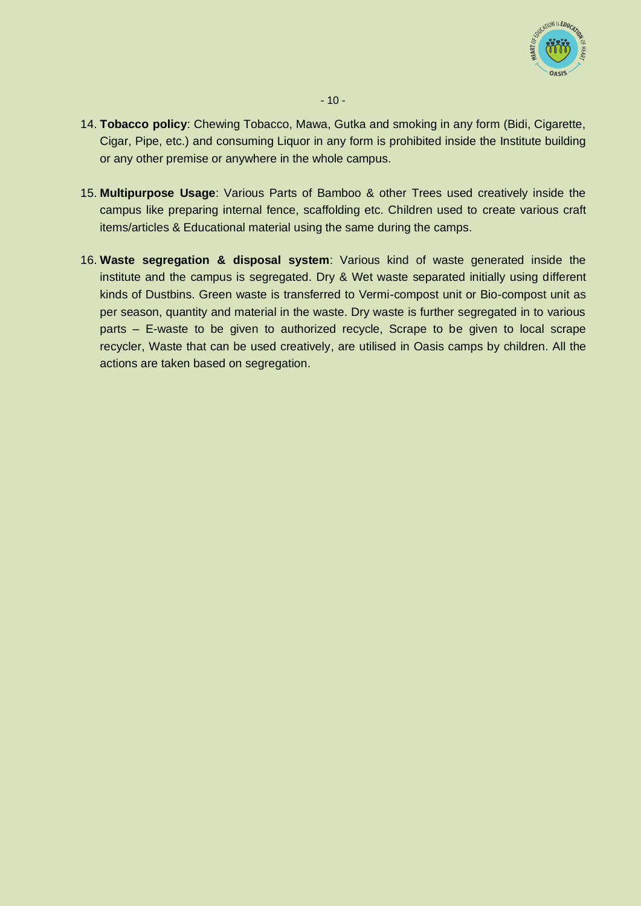

- 14. **Tobacco policy**: Chewing Tobacco, Mawa, Gutka and smoking in any form (Bidi, Cigarette, Cigar, Pipe, etc.) and consuming Liquor in any form is prohibited inside the Institute building or any other premise or anywhere in the whole campus.
- 15. **Multipurpose Usage**: Various Parts of Bamboo & other Trees used creatively inside the campus like preparing internal fence, scaffolding etc. Children used to create various craft items/articles & Educational material using the same during the camps.
- 16. **Waste segregation & disposal system**: Various kind of waste generated inside the institute and the campus is segregated. Dry & Wet waste separated initially using different kinds of Dustbins. Green waste is transferred to Vermi-compost unit or Bio-compost unit as per season, quantity and material in the waste. Dry waste is further segregated in to various parts – E-waste to be given to authorized recycle, Scrape to be given to local scrape recycler, Waste that can be used creatively, are utilised in Oasis camps by children. All the actions are taken based on segregation.